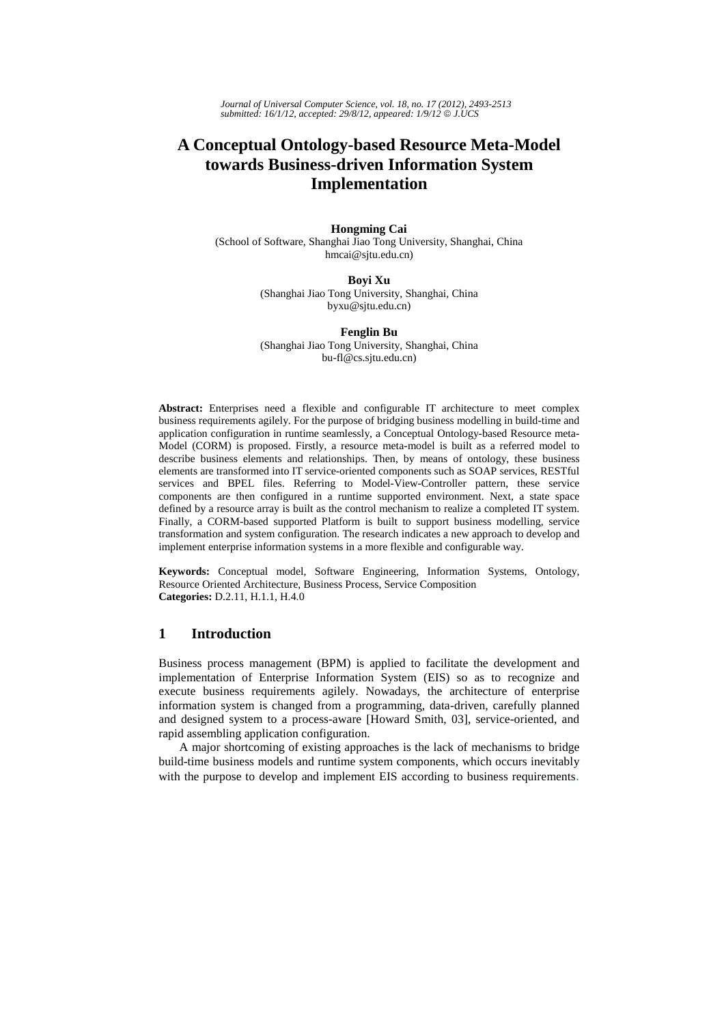*Journal of Universal Computer Science, vol. 18, no. 17 (2012), 2493-2513 submitted: 16/1/12, accepted: 29/8/12, appeared: 1/9/12* © *J.UCS*

# **A Conceptual Ontology-based Resource Meta-Model towards Business-driven Information System Implementation**

#### **Hongming Cai**

(School of Software, Shanghai Jiao Tong University, Shanghai, China hmcai@sjtu.edu.cn)

### **Boyi Xu**  (Shanghai Jiao Tong University, Shanghai, China byxu@sjtu.edu.cn)

**Fenglin Bu**  (Shanghai Jiao Tong University, Shanghai, China bu-fl@cs.sjtu.edu.cn)

**Abstract:** Enterprises need a flexible and configurable IT architecture to meet complex business requirements agilely. For the purpose of bridging business modelling in build-time and application configuration in runtime seamlessly, a Conceptual Ontology-based Resource meta-Model (CORM) is proposed. Firstly, a resource meta-model is built as a referred model to describe business elements and relationships. Then, by means of ontology, these business elements are transformed into IT service-oriented components such as SOAP services, RESTful services and BPEL files. Referring to Model-View-Controller pattern, these service components are then configured in a runtime supported environment. Next, a state space defined by a resource array is built as the control mechanism to realize a completed IT system. Finally, a CORM-based supported Platform is built to support business modelling, service transformation and system configuration. The research indicates a new approach to develop and implement enterprise information systems in a more flexible and configurable way.

**Keywords:** Conceptual model, Software Engineering, Information Systems, Ontology, Resource Oriented Architecture, Business Process, Service Composition **Categories:** D.2.11, H.1.1, H.4.0

# **1 Introduction**

Business process management (BPM) is applied to facilitate the development and implementation of Enterprise Information System (EIS) so as to recognize and execute business requirements agilely. Nowadays, the architecture of enterprise information system is changed from a programming, data-driven, carefully planned and designed system to a process-aware [Howard Smith, 03], service-oriented, and rapid assembling application configuration.

A major shortcoming of existing approaches is the lack of mechanisms to bridge build-time business models and runtime system components, which occurs inevitably with the purpose to develop and implement EIS according to business requirements.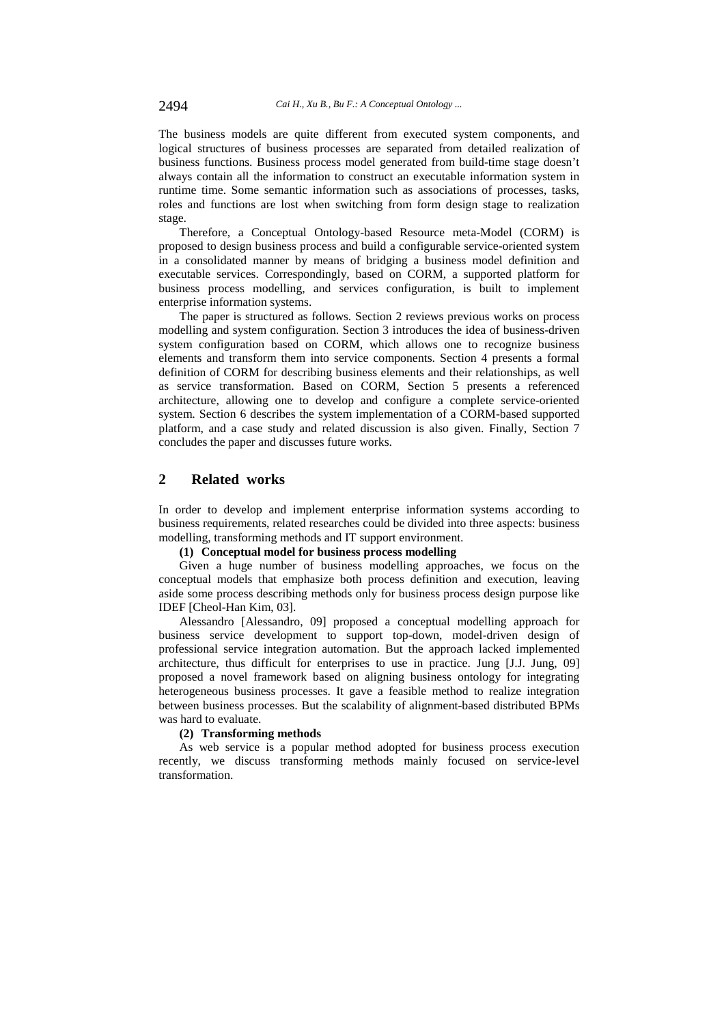The business models are quite different from executed system components, and logical structures of business processes are separated from detailed realization of business functions. Business process model generated from build-time stage doesn't always contain all the information to construct an executable information system in runtime time. Some semantic information such as associations of processes, tasks, roles and functions are lost when switching from form design stage to realization stage.

Therefore, a Conceptual Ontology-based Resource meta-Model (CORM) is proposed to design business process and build a configurable service-oriented system in a consolidated manner by means of bridging a business model definition and executable services. Correspondingly, based on CORM, a supported platform for business process modelling, and services configuration, is built to implement enterprise information systems.

The paper is structured as follows. Section 2 reviews previous works on process modelling and system configuration. Section 3 introduces the idea of business-driven system configuration based on CORM, which allows one to recognize business elements and transform them into service components. Section 4 presents a formal definition of CORM for describing business elements and their relationships, as well as service transformation. Based on CORM, Section 5 presents a referenced architecture, allowing one to develop and configure a complete service-oriented system. Section 6 describes the system implementation of a CORM-based supported platform, and a case study and related discussion is also given. Finally, Section 7 concludes the paper and discusses future works.

# **2 Related works**

In order to develop and implement enterprise information systems according to business requirements, related researches could be divided into three aspects: business modelling, transforming methods and IT support environment.

### **(1) Conceptual model for business process modelling**

Given a huge number of business modelling approaches, we focus on the conceptual models that emphasize both process definition and execution, leaving aside some process describing methods only for business process design purpose like IDEF [Cheol-Han Kim, 03].

Alessandro [Alessandro, 09] proposed a conceptual modelling approach for business service development to support top-down, model-driven design of professional service integration automation. But the approach lacked implemented architecture, thus difficult for enterprises to use in practice. Jung [J.J. Jung, 09] proposed a novel framework based on aligning business ontology for integrating heterogeneous business processes. It gave a feasible method to realize integration between business processes. But the scalability of alignment-based distributed BPMs was hard to evaluate.

#### **(2) Transforming methods**

As web service is a popular method adopted for business process execution recently, we discuss transforming methods mainly focused on service-level transformation.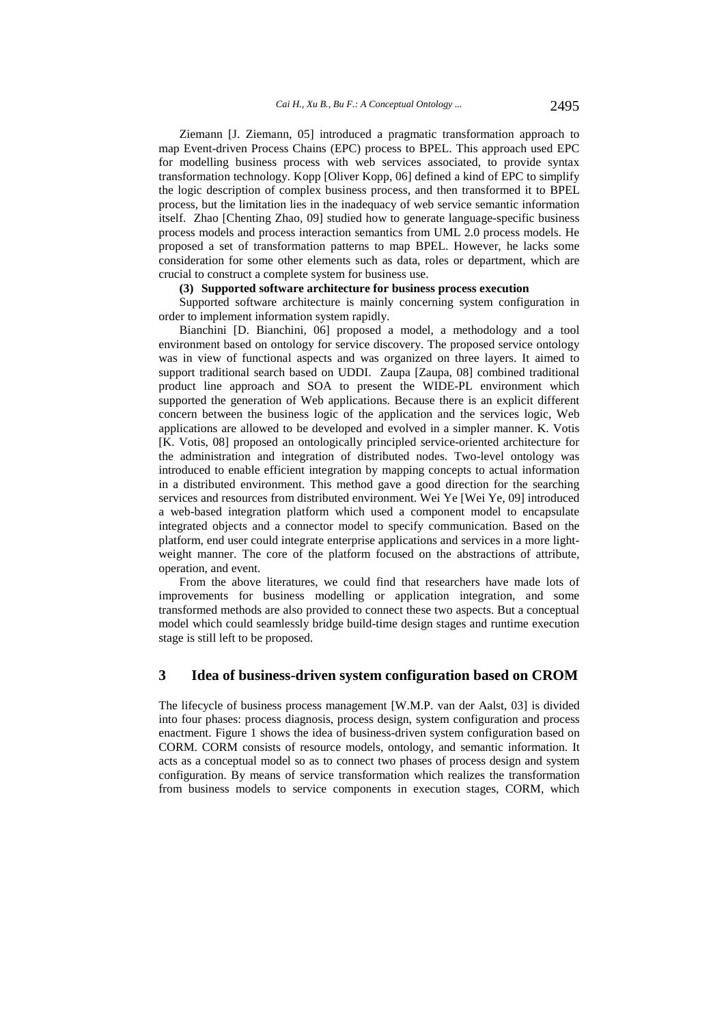Ziemann [J. Ziemann, 05] introduced a pragmatic transformation approach to map Event-driven Process Chains (EPC) process to BPEL. This approach used EPC for modelling business process with web services associated, to provide syntax transformation technology. Kopp [Oliver Kopp, 06] defined a kind of EPC to simplify the logic description of complex business process, and then transformed it to BPEL process, but the limitation lies in the inadequacy of web service semantic information itself. Zhao [Chenting Zhao, 09] studied how to generate language-specific business process models and process interaction semantics from UML 2.0 process models. He proposed a set of transformation patterns to map BPEL. However, he lacks some consideration for some other elements such as data, roles or department, which are crucial to construct a complete system for business use.

# **(3) Supported software architecture for business process execution**

Supported software architecture is mainly concerning system configuration in order to implement information system rapidly.

Bianchini [D. Bianchini, 06] proposed a model, a methodology and a tool environment based on ontology for service discovery. The proposed service ontology was in view of functional aspects and was organized on three layers. It aimed to support traditional search based on UDDI. Zaupa [Zaupa, 08] combined traditional product line approach and SOA to present the WIDE-PL environment which supported the generation of Web applications. Because there is an explicit different concern between the business logic of the application and the services logic, Web applications are allowed to be developed and evolved in a simpler manner. K. Votis [K. Votis, 08] proposed an ontologically principled service-oriented architecture for the administration and integration of distributed nodes. Two-level ontology was introduced to enable efficient integration by mapping concepts to actual information in a distributed environment. This method gave a good direction for the searching services and resources from distributed environment. Wei Ye [Wei Ye, 09] introduced a web-based integration platform which used a component model to encapsulate integrated objects and a connector model to specify communication. Based on the platform, end user could integrate enterprise applications and services in a more lightweight manner. The core of the platform focused on the abstractions of attribute, operation, and event.

From the above literatures, we could find that researchers have made lots of improvements for business modelling or application integration, and some transformed methods are also provided to connect these two aspects. But a conceptual model which could seamlessly bridge build-time design stages and runtime execution stage is still left to be proposed.

## **3 Idea of business-driven system configuration based on CROM**

The lifecycle of business process management [W.M.P. van der Aalst, 03] is divided into four phases: process diagnosis, process design, system configuration and process enactment. Figure 1 shows the idea of business-driven system configuration based on CORM. CORM consists of resource models, ontology, and semantic information. It acts as a conceptual model so as to connect two phases of process design and system configuration. By means of service transformation which realizes the transformation from business models to service components in execution stages, CORM, which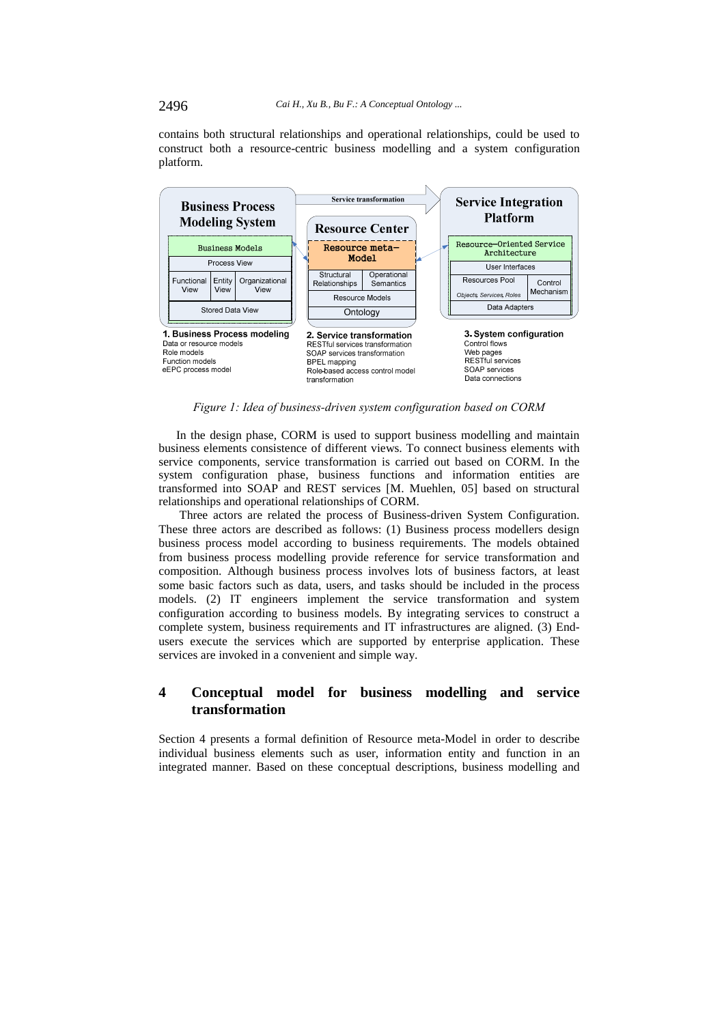contains both structural relationships and operational relationships, could be used to construct both a resource-centric business modelling and a system configuration platform.



*Figure 1: Idea of business-driven system configuration based on CORM* 

In the design phase, CORM is used to support business modelling and maintain business elements consistence of different views. To connect business elements with service components, service transformation is carried out based on CORM. In the system configuration phase, business functions and information entities are transformed into SOAP and REST services [M. Muehlen, 05] based on structural relationships and operational relationships of CORM.

Three actors are related the process of Business-driven System Configuration. These three actors are described as follows: (1) Business process modellers design business process model according to business requirements. The models obtained from business process modelling provide reference for service transformation and composition. Although business process involves lots of business factors, at least some basic factors such as data, users, and tasks should be included in the process models. (2) IT engineers implement the service transformation and system configuration according to business models. By integrating services to construct a complete system, business requirements and IT infrastructures are aligned. (3) Endusers execute the services which are supported by enterprise application. These services are invoked in a convenient and simple way.

# **4 Conceptual model for business modelling and service transformation**

Section 4 presents a formal definition of Resource meta-Model in order to describe individual business elements such as user, information entity and function in an integrated manner. Based on these conceptual descriptions, business modelling and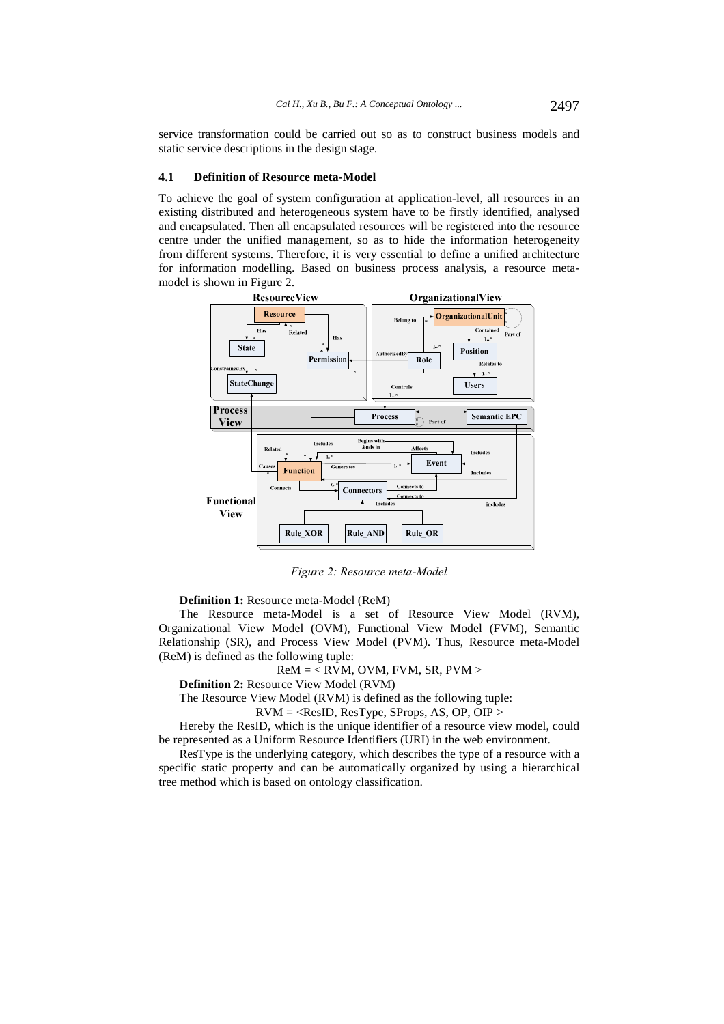service transformation could be carried out so as to construct business models and static service descriptions in the design stage.

#### **4.1 Definition of Resource meta-Model**

To achieve the goal of system configuration at application-level, all resources in an existing distributed and heterogeneous system have to be firstly identified, analysed and encapsulated. Then all encapsulated resources will be registered into the resource centre under the unified management, so as to hide the information heterogeneity from different systems. Therefore, it is very essential to define a unified architecture for information modelling. Based on business process analysis, a resource metamodel is shown in Figure 2.



*Figure 2: Resource meta-Model* 

**Definition 1:** Resource meta-Model (ReM)

The Resource meta-Model is a set of Resource View Model (RVM), Organizational View Model (OVM), Functional View Model (FVM), Semantic Relationship (SR), and Process View Model (PVM). Thus, Resource meta-Model (ReM) is defined as the following tuple:

#### $ReM = \langle$  RVM, OVM, FVM, SR, PVM  $>$

**Definition 2:** Resource View Model (RVM)

The Resource View Model (RVM) is defined as the following tuple:

 $RVM = <$ ResID, ResType, SProps, AS, OP, OIP >

Hereby the ResID, which is the unique identifier of a resource view model, could be represented as a Uniform Resource Identifiers (URI) in the web environment.

ResType is the underlying category, which describes the type of a resource with a specific static property and can be automatically organized by using a hierarchical tree method which is based on ontology classification.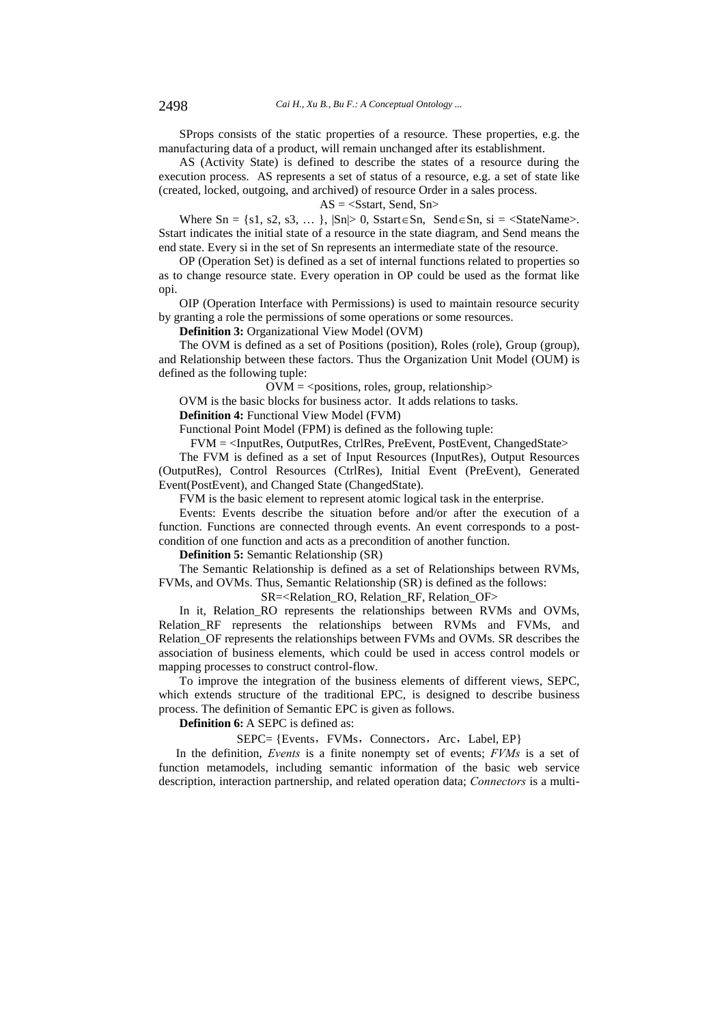SProps consists of the static properties of a resource. These properties, e.g. the manufacturing data of a product, will remain unchanged after its establishment.

AS (Activity State) is defined to describe the states of a resource during the execution process. AS represents a set of status of a resource, e.g. a set of state like (created, locked, outgoing, and archived) of resource Order in a sales process.

 $AS = <$ Sstart, Send, Sn $>$ 

Where  $Sn = \{s1, s2, s3, \dots\}$ ,  $|Sn| > 0$ , Sstart $\in$ Sn, Send $\in$ Sn, si = <StateName>. Sstart indicates the initial state of a resource in the state diagram, and Send means the end state. Every si in the set of Sn represents an intermediate state of the resource.

OP (Operation Set) is defined as a set of internal functions related to properties so as to change resource state. Every operation in OP could be used as the format like opi.

OIP (Operation Interface with Permissions) is used to maintain resource security by granting a role the permissions of some operations or some resources.

**Definition 3:** Organizational View Model (OVM)

The OVM is defined as a set of Positions (position), Roles (role), Group (group), and Relationship between these factors. Thus the Organization Unit Model (OUM) is defined as the following tuple:

 $\text{OVM} = \text{&}$  spositions, roles, group, relationship

OVM is the basic blocks for business actor. It adds relations to tasks.

**Definition 4:** Functional View Model (FVM)

Functional Point Model (FPM) is defined as the following tuple:

FVM = <InputRes, OutputRes, CtrlRes, PreEvent, PostEvent, ChangedState>

The FVM is defined as a set of Input Resources (InputRes), Output Resources (OutputRes), Control Resources (CtrlRes), Initial Event (PreEvent), Generated Event(PostEvent), and Changed State (ChangedState).

FVM is the basic element to represent atomic logical task in the enterprise.

Events: Events describe the situation before and/or after the execution of a function. Functions are connected through events. An event corresponds to a postcondition of one function and acts as a precondition of another function.

**Definition 5:** Semantic Relationship (SR)

The Semantic Relationship is defined as a set of Relationships between RVMs, FVMs, and OVMs. Thus, Semantic Relationship (SR) is defined as the follows:

SR=<Relation\_RO, Relation\_RF, Relation\_OF>

In it, Relation RO represents the relationships between RVMs and OVMs, Relation RF represents the relationships between RVMs and FVMs, and Relation OF represents the relationships between FVMs and OVMs. SR describes the association of business elements, which could be used in access control models or mapping processes to construct control-flow.

To improve the integration of the business elements of different views, SEPC, which extends structure of the traditional EPC, is designed to describe business process. The definition of Semantic EPC is given as follows.

**Definition 6:** A SEPC is defined as:

SEPC= {Events, FVMs, Connectors, Arc, Label, EP}

In the definition, *Events* is a finite nonempty set of events; *FVMs* is a set of function metamodels, including semantic information of the basic web service description, interaction partnership, and related operation data; *Connectors* is a multi-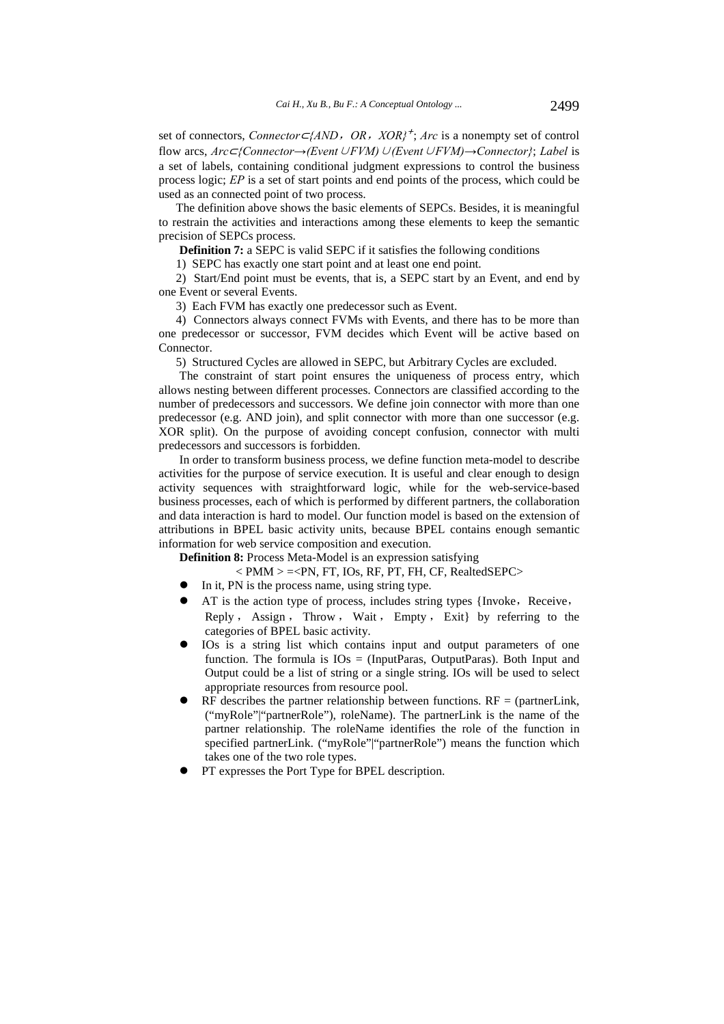set of connectors, *Connector* ⊂*{AND*, *OR*, *XOR}*<sup>+</sup>; *Arc* is a nonempty set of control flow arcs, *Arc*⊂*{Connector→(Event*∪*FVM)*∪*(Event*∪*FVM)→Connector}*; *Label* is a set of labels, containing conditional judgment expressions to control the business process logic; *EP* is a set of start points and end points of the process, which could be used as an connected point of two process.

The definition above shows the basic elements of SEPCs. Besides, it is meaningful to restrain the activities and interactions among these elements to keep the semantic precision of SEPCs process.

**Definition 7:** a SEPC is valid SEPC if it satisfies the following conditions

1) SEPC has exactly one start point and at least one end point.

2) Start/End point must be events, that is, a SEPC start by an Event, and end by one Event or several Events.

3) Each FVM has exactly one predecessor such as Event.

4) Connectors always connect FVMs with Events, and there has to be more than one predecessor or successor, FVM decides which Event will be active based on **Connector** 

5) Structured Cycles are allowed in SEPC, but Arbitrary Cycles are excluded.

The constraint of start point ensures the uniqueness of process entry, which allows nesting between different processes. Connectors are classified according to the number of predecessors and successors. We define join connector with more than one predecessor (e.g. AND join), and split connector with more than one successor (e.g. XOR split). On the purpose of avoiding concept confusion, connector with multi predecessors and successors is forbidden.

In order to transform business process, we define function meta-model to describe activities for the purpose of service execution. It is useful and clear enough to design activity sequences with straightforward logic, while for the web-service-based business processes, each of which is performed by different partners, the collaboration and data interaction is hard to model. Our function model is based on the extension of attributions in BPEL basic activity units, because BPEL contains enough semantic information for web service composition and execution.

**Definition 8:** Process Meta-Model is an expression satisfying

 $<$  PMM  $>$  =  $<$ PN, FT, IOs, RF, PT, FH, CF, RealtedSEPC $>$ 

- In it, PN is the process name, using string type.
- AT is the action type of process, includes string types {Invoke, Receive,

Reply , Assign , Throw , Wait , Empty , Exit} by referring to the categories of BPEL basic activity.

- IOs is a string list which contains input and output parameters of one function. The formula is  $IOS = (InputParas, OutputParas)$ . Both Input and Output could be a list of string or a single string. IOs will be used to select appropriate resources from resource pool.
- RF describes the partner relationship between functions.  $RF =$  (partner Link, ("myRole"|"partnerRole"), roleName). The partnerLink is the name of the partner relationship. The roleName identifies the role of the function in specified partnerLink. ("myRole"|"partnerRole") means the function which takes one of the two role types.
- PT expresses the Port Type for BPEL description.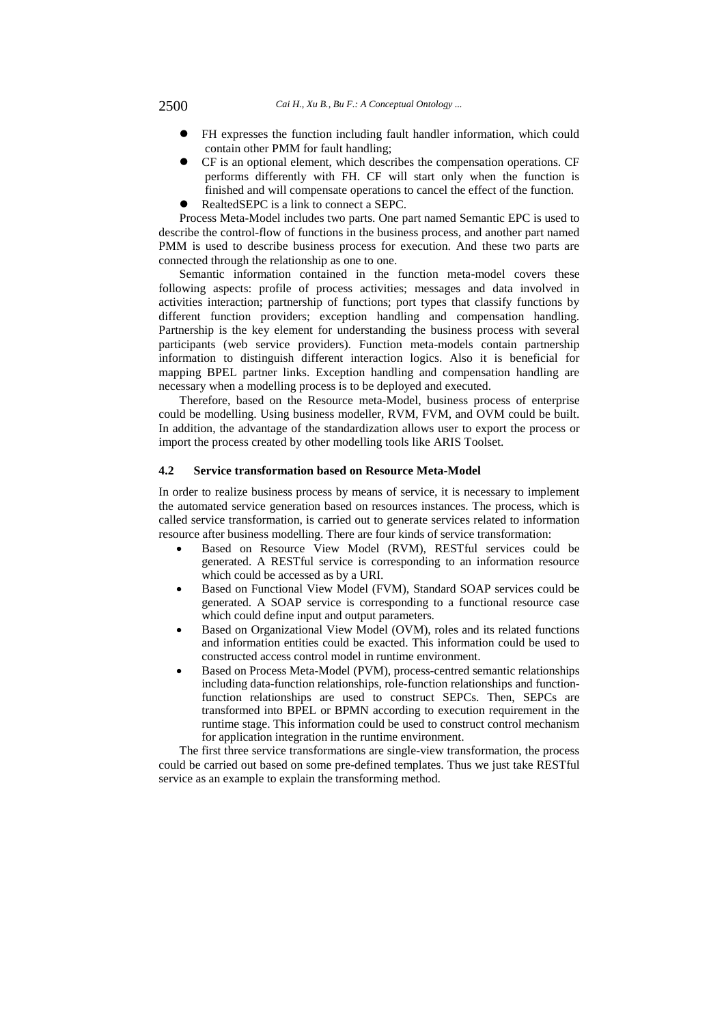- FH expresses the function including fault handler information, which could contain other PMM for fault handling;
- CF is an optional element, which describes the compensation operations. CF performs differently with FH. CF will start only when the function is finished and will compensate operations to cancel the effect of the function.
- RealtedSEPC is a link to connect a SEPC.

Process Meta-Model includes two parts. One part named Semantic EPC is used to describe the control-flow of functions in the business process, and another part named PMM is used to describe business process for execution. And these two parts are connected through the relationship as one to one.

Semantic information contained in the function meta-model covers these following aspects: profile of process activities; messages and data involved in activities interaction; partnership of functions; port types that classify functions by different function providers; exception handling and compensation handling. Partnership is the key element for understanding the business process with several participants (web service providers). Function meta-models contain partnership information to distinguish different interaction logics. Also it is beneficial for mapping BPEL partner links. Exception handling and compensation handling are necessary when a modelling process is to be deployed and executed.

Therefore, based on the Resource meta-Model, business process of enterprise could be modelling. Using business modeller, RVM, FVM, and OVM could be built. In addition, the advantage of the standardization allows user to export the process or import the process created by other modelling tools like ARIS Toolset.

### **4.2 Service transformation based on Resource Meta-Model**

In order to realize business process by means of service, it is necessary to implement the automated service generation based on resources instances. The process, which is called service transformation, is carried out to generate services related to information resource after business modelling. There are four kinds of service transformation:

- Based on Resource View Model (RVM), RESTful services could be generated. A RESTful service is corresponding to an information resource which could be accessed as by a URI.
- Based on Functional View Model (FVM), Standard SOAP services could be generated. A SOAP service is corresponding to a functional resource case which could define input and output parameters.
- Based on Organizational View Model (OVM), roles and its related functions and information entities could be exacted. This information could be used to constructed access control model in runtime environment.
- Based on Process Meta-Model (PVM), process-centred semantic relationships including data-function relationships, role-function relationships and functionfunction relationships are used to construct SEPCs. Then, SEPCs are transformed into BPEL or BPMN according to execution requirement in the runtime stage. This information could be used to construct control mechanism for application integration in the runtime environment.

The first three service transformations are single-view transformation, the process could be carried out based on some pre-defined templates. Thus we just take RESTful service as an example to explain the transforming method.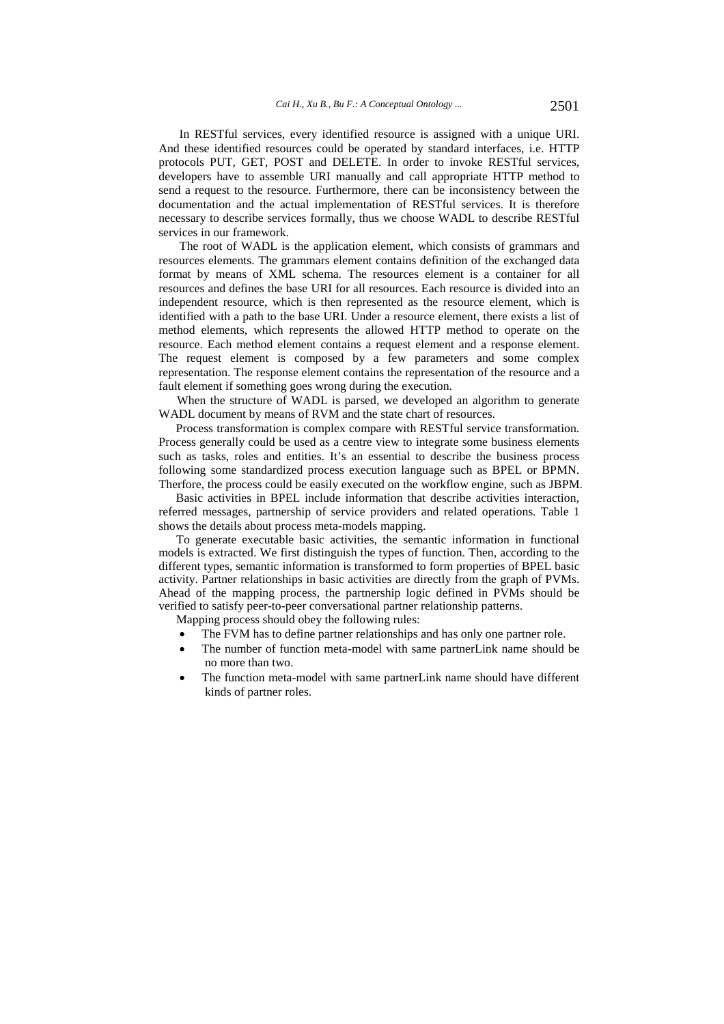In RESTful services, every identified resource is assigned with a unique URI. And these identified resources could be operated by standard interfaces, i.e. HTTP protocols PUT, GET, POST and DELETE. In order to invoke RESTful services, developers have to assemble URI manually and call appropriate HTTP method to send a request to the resource. Furthermore, there can be inconsistency between the documentation and the actual implementation of RESTful services. It is therefore necessary to describe services formally, thus we choose WADL to describe RESTful services in our framework.

The root of WADL is the application element, which consists of grammars and resources elements. The grammars element contains definition of the exchanged data format by means of XML schema. The resources element is a container for all resources and defines the base URI for all resources. Each resource is divided into an independent resource, which is then represented as the resource element, which is identified with a path to the base URI. Under a resource element, there exists a list of method elements, which represents the allowed HTTP method to operate on the resource. Each method element contains a request element and a response element. The request element is composed by a few parameters and some complex representation. The response element contains the representation of the resource and a fault element if something goes wrong during the execution.

When the structure of WADL is parsed, we developed an algorithm to generate WADL document by means of RVM and the state chart of resources.

Process transformation is complex compare with RESTful service transformation. Process generally could be used as a centre view to integrate some business elements such as tasks, roles and entities. It's an essential to describe the business process following some standardized process execution language such as BPEL or BPMN. Therfore, the process could be easily executed on the workflow engine, such as JBPM.

Basic activities in BPEL include information that describe activities interaction, referred messages, partnership of service providers and related operations. Table 1 shows the details about process meta-models mapping.

To generate executable basic activities, the semantic information in functional models is extracted. We first distinguish the types of function. Then, according to the different types, semantic information is transformed to form properties of BPEL basic activity. Partner relationships in basic activities are directly from the graph of PVMs. Ahead of the mapping process, the partnership logic defined in PVMs should be verified to satisfy peer-to-peer conversational partner relationship patterns.

Mapping process should obey the following rules:

- The FVM has to define partner relationships and has only one partner role.
- The number of function meta-model with same partnerLink name should be no more than two.
- The function meta-model with same partnerLink name should have different kinds of partner roles.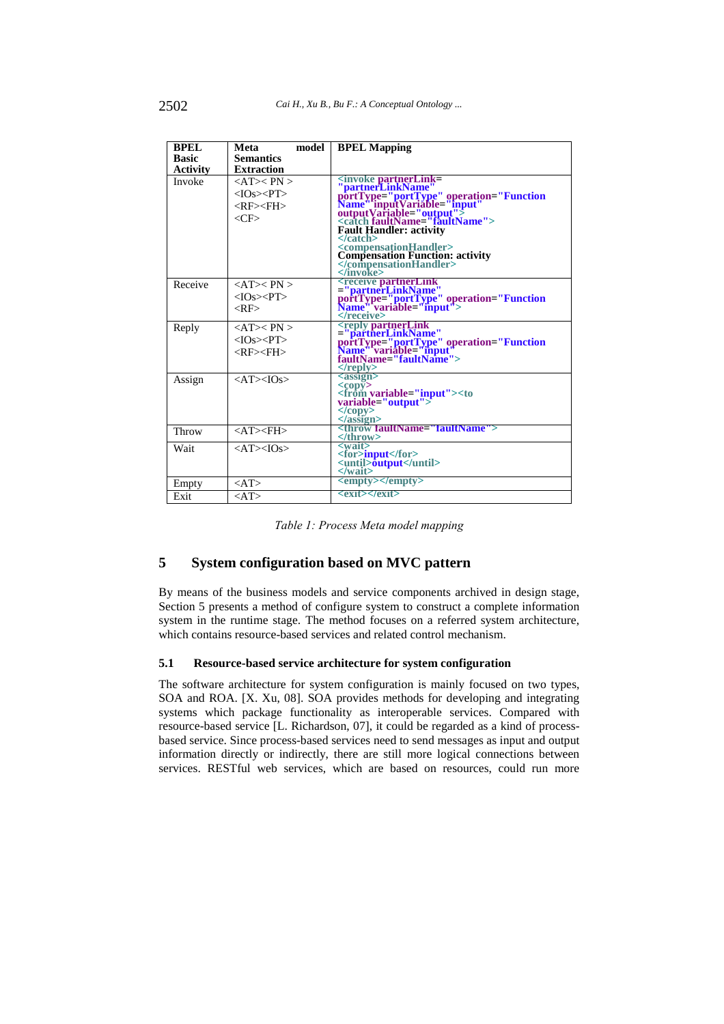| <b>BPEL</b>  | model<br>Meta                            | <b>BPEL Mapping</b>                                                                                                                                                                                                                                              |
|--------------|------------------------------------------|------------------------------------------------------------------------------------------------------------------------------------------------------------------------------------------------------------------------------------------------------------------|
| <b>Basic</b> | <b>Semantics</b>                         |                                                                                                                                                                                                                                                                  |
| Activity     | <b>Extraction</b>                        |                                                                                                                                                                                                                                                                  |
| Invoke       | $\langle AT \rangle$ PN $>$              | <invoke partnerlink="&lt;br"> "partnerLinkName"<br/> portType="portType" operation="Function<br/> Name".inputVariable="mput"&gt;<br/> outputVariable="output"&gt;<br/> <catch faultname="faultName"><br/> <catch faultname="faultName"></catch></catch></invoke> |
|              | $<$ IOs> $<$ PT>                         |                                                                                                                                                                                                                                                                  |
|              | <rf><fh></fh></rf>                       |                                                                                                                                                                                                                                                                  |
|              |                                          |                                                                                                                                                                                                                                                                  |
|              | $\langle$ CF>                            |                                                                                                                                                                                                                                                                  |
|              |                                          | <b>Fault Handler: activity</b>                                                                                                                                                                                                                                   |
|              |                                          | $<$ /catch $>$                                                                                                                                                                                                                                                   |
|              |                                          |                                                                                                                                                                                                                                                                  |
|              |                                          | <compensationhandler><br/>Compensation Function: activity<br/></compensationhandler>                                                                                                                                                                             |
|              |                                          |                                                                                                                                                                                                                                                                  |
| Receive      | $\langle AT \rangle$ PN $>$              | <receive partnerlink,<br="">="partnerLinkName"<br/>portType="portType" operation="Function<br/>Name" variable="input"&gt;</receive>                                                                                                                              |
|              | $<$ IOs $><$ PT $>$                      |                                                                                                                                                                                                                                                                  |
|              | $<$ RF $>$                               |                                                                                                                                                                                                                                                                  |
|              |                                          |                                                                                                                                                                                                                                                                  |
| Reply        | $\langle$ AT $\rangle$ $\langle$ PN $>$  | ="partnerLinkName"<br>proft Type="portflype" operation="Function<br>Name" variable="input"<br>faultName="faultName">                                                                                                                                             |
|              | $<$ IOs> $<$ PT>                         |                                                                                                                                                                                                                                                                  |
|              | $<$ RF> $<$ FH>                          |                                                                                                                                                                                                                                                                  |
|              |                                          |                                                                                                                                                                                                                                                                  |
|              |                                          | $\langle$ reply $\rangle$                                                                                                                                                                                                                                        |
| Assign       | $\langle AT \rangle \langle IOS \rangle$ | $assign$                                                                                                                                                                                                                                                         |
|              |                                          | <copy><br/><from<b>_variable="input"&gt;<to< td=""></to<></from<b></copy>                                                                                                                                                                                        |
|              |                                          | variable="output">                                                                                                                                                                                                                                               |
|              |                                          | $\langle \text{copy} \rangle$                                                                                                                                                                                                                                    |
|              |                                          | $\langle$ assign $\rangle$                                                                                                                                                                                                                                       |
| Throw        | $\langle$ AT $>\!\!\!<$ FH $>$           | <throw faultname="faultName"><br/></throw>                                                                                                                                                                                                                       |
| Wait         | $\langle AT \rangle \langle IOS \rangle$ | $\langle \text{wait} \rangle$                                                                                                                                                                                                                                    |
|              |                                          | <for>input</for><br><until><b>output</b></until>                                                                                                                                                                                                                 |
|              |                                          |                                                                                                                                                                                                                                                                  |
|              |                                          | $\langle$ /wait $\rangle$<br><empty></empty>                                                                                                                                                                                                                     |
| Empty        | $<$ AT $>$                               |                                                                                                                                                                                                                                                                  |
| Exit         | $<$ AT $>$                               | <exit></exit>                                                                                                                                                                                                                                                    |

*Table 1: Process Meta model mapping* 

# **5 System configuration based on MVC pattern**

By means of the business models and service components archived in design stage, Section 5 presents a method of configure system to construct a complete information system in the runtime stage. The method focuses on a referred system architecture, which contains resource-based services and related control mechanism.

# **5.1 Resource-based service architecture for system configuration**

The software architecture for system configuration is mainly focused on two types, SOA and ROA. [X. Xu, 08]. SOA provides methods for developing and integrating systems which package functionality as interoperable services. Compared with resource-based service [L. Richardson, 07], it could be regarded as a kind of processbased service. Since process-based services need to send messages as input and output information directly or indirectly, there are still more logical connections between services. RESTful web services, which are based on resources, could run more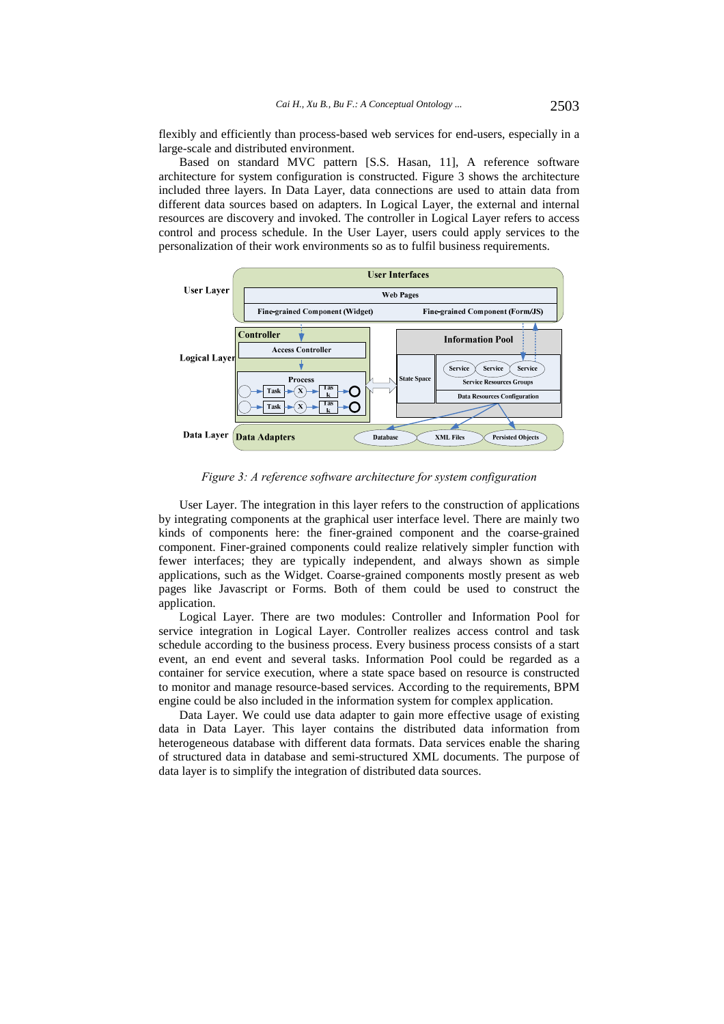flexibly and efficiently than process-based web services for end-users, especially in a large-scale and distributed environment.

Based on standard MVC pattern [S.S. Hasan, 11], A reference software architecture for system configuration is constructed. Figure 3 shows the architecture included three layers. In Data Layer, data connections are used to attain data from different data sources based on adapters. In Logical Layer, the external and internal resources are discovery and invoked. The controller in Logical Layer refers to access control and process schedule. In the User Layer, users could apply services to the personalization of their work environments so as to fulfil business requirements.



*Figure 3: A reference software architecture for system configuration* 

User Layer. The integration in this layer refers to the construction of applications by integrating components at the graphical user interface level. There are mainly two kinds of components here: the finer-grained component and the coarse-grained component. Finer-grained components could realize relatively simpler function with fewer interfaces; they are typically independent, and always shown as simple applications, such as the Widget. Coarse-grained components mostly present as web pages like Javascript or Forms. Both of them could be used to construct the application.

Logical Layer. There are two modules: Controller and Information Pool for service integration in Logical Layer. Controller realizes access control and task schedule according to the business process. Every business process consists of a start event, an end event and several tasks. Information Pool could be regarded as a container for service execution, where a state space based on resource is constructed to monitor and manage resource-based services. According to the requirements, BPM engine could be also included in the information system for complex application.

Data Layer. We could use data adapter to gain more effective usage of existing data in Data Layer. This layer contains the distributed data information from heterogeneous database with different data formats. Data services enable the sharing of structured data in database and semi-structured XML documents. The purpose of data layer is to simplify the integration of distributed data sources.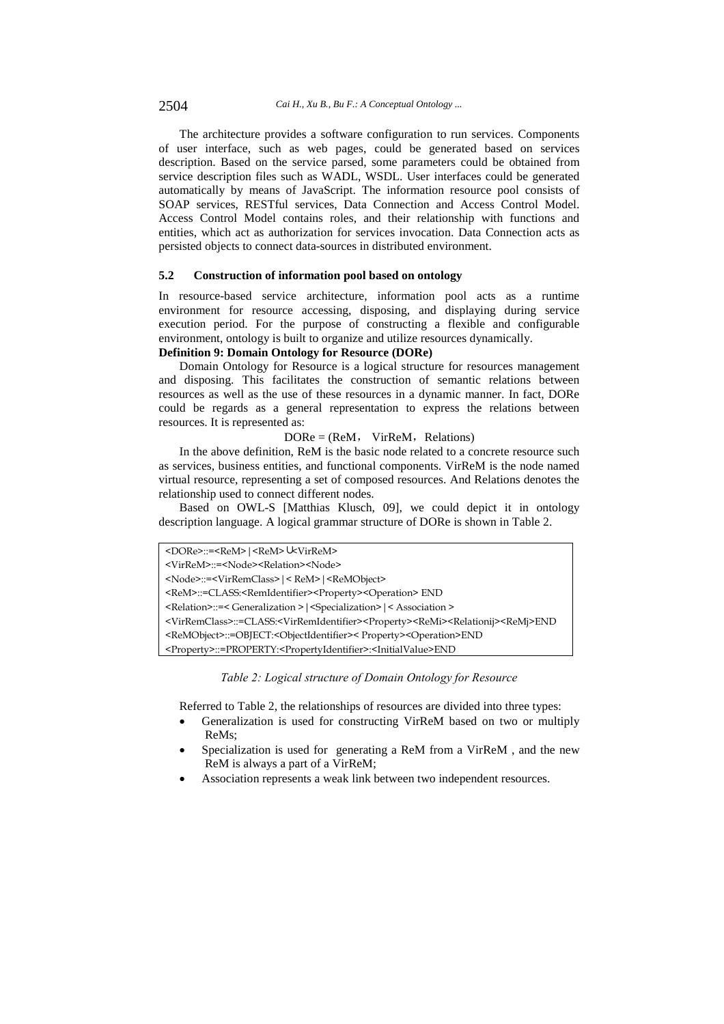The architecture provides a software configuration to run services. Components of user interface, such as web pages, could be generated based on services description. Based on the service parsed, some parameters could be obtained from service description files such as WADL, WSDL. User interfaces could be generated automatically by means of JavaScript. The information resource pool consists of SOAP services, RESTful services, Data Connection and Access Control Model. Access Control Model contains roles, and their relationship with functions and entities, which act as authorization for services invocation. Data Connection acts as persisted objects to connect data-sources in distributed environment.

#### **5.2 Construction of information pool based on ontology**

In resource-based service architecture, information pool acts as a runtime environment for resource accessing, disposing, and displaying during service execution period. For the purpose of constructing a flexible and configurable environment, ontology is built to organize and utilize resources dynamically.

# **Definition 9: Domain Ontology for Resource (DORe)**

Domain Ontology for Resource is a logical structure for resources management and disposing. This facilitates the construction of semantic relations between resources as well as the use of these resources in a dynamic manner. In fact, DORe could be regards as a general representation to express the relations between resources. It is represented as:

### $DORE = (ReM, VirReM, Relations)$

In the above definition, ReM is the basic node related to a concrete resource such as services, business entities, and functional components. VirReM is the node named virtual resource, representing a set of composed resources. And Relations denotes the relationship used to connect different nodes.

Based on OWL-S [Matthias Klusch, 09], we could depict it in ontology description language. A logical grammar structure of DORe is shown in Table 2.

```
<DORe>::=<ReM>|<ReM>∪<VirReM>
```

```
<VirReM>::=<Node><Relation><Node>
```

```
<Node>::=<VirRemClass>|< ReM>|<ReMObject>
```

```
<ReM>::=CLASS:<RemIdentifier><Property><Operation> END
```

```
<Relation>::=< Generalization >|<Specialization>|< Association >
```
<VirRemClass>::=CLASS:<VirRemIdentifier><Property><ReMi><Relationij><ReMj>END

<ReMObject>::=OBJECT:<ObjectIdentifier>< Property><Operation>END

<Property>::=PROPERTY:<PropertyIdentifier>:<InitialValue>END

### *Table 2: Logical structure of Domain Ontology for Resource*

Referred to Table 2, the relationships of resources are divided into three types:

- Generalization is used for constructing VirReM based on two or multiply ReMs;
- Specialization is used for generating a ReM from a VirReM , and the new ReM is always a part of a VirReM;
- Association represents a weak link between two independent resources.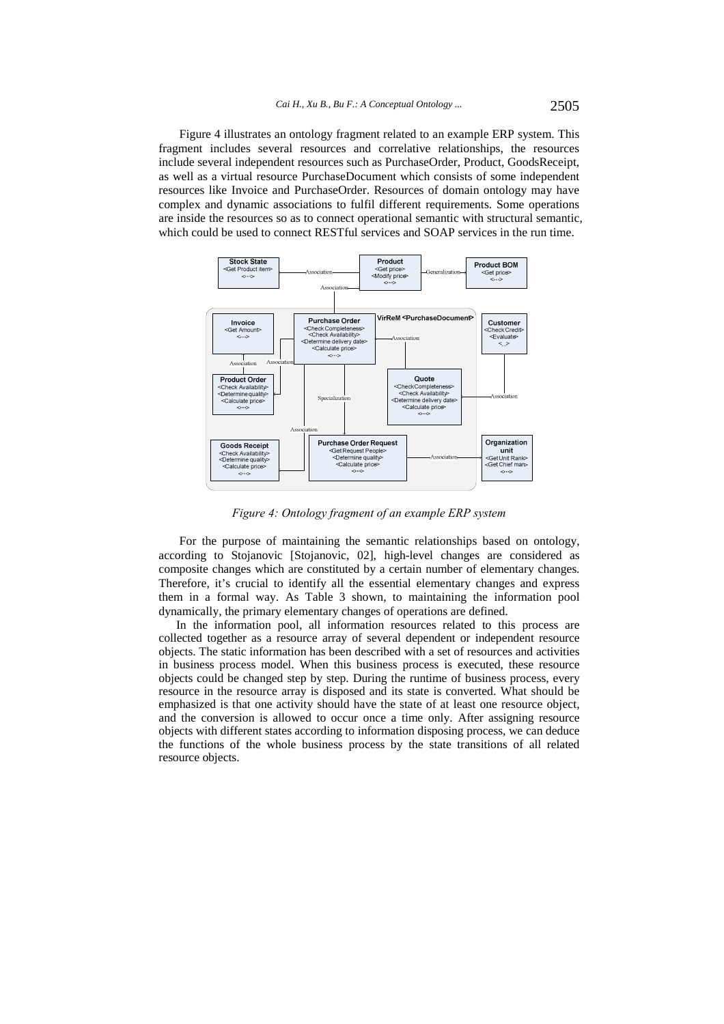Figure 4 illustrates an ontology fragment related to an example ERP system. This fragment includes several resources and correlative relationships, the resources include several independent resources such as PurchaseOrder, Product, GoodsReceipt, as well as a virtual resource PurchaseDocument which consists of some independent resources like Invoice and PurchaseOrder. Resources of domain ontology may have complex and dynamic associations to fulfil different requirements. Some operations are inside the resources so as to connect operational semantic with structural semantic, which could be used to connect RESTful services and SOAP services in the run time.



*Figure 4: Ontology fragment of an example ERP system* 

For the purpose of maintaining the semantic relationships based on ontology, according to Stojanovic [Stojanovic, 02], high-level changes are considered as composite changes which are constituted by a certain number of elementary changes. Therefore, it's crucial to identify all the essential elementary changes and express them in a formal way. As Table 3 shown, to maintaining the information pool dynamically, the primary elementary changes of operations are defined.

In the information pool, all information resources related to this process are collected together as a resource array of several dependent or independent resource objects. The static information has been described with a set of resources and activities in business process model. When this business process is executed, these resource objects could be changed step by step. During the runtime of business process, every resource in the resource array is disposed and its state is converted. What should be emphasized is that one activity should have the state of at least one resource object, and the conversion is allowed to occur once a time only. After assigning resource objects with different states according to information disposing process, we can deduce the functions of the whole business process by the state transitions of all related resource objects.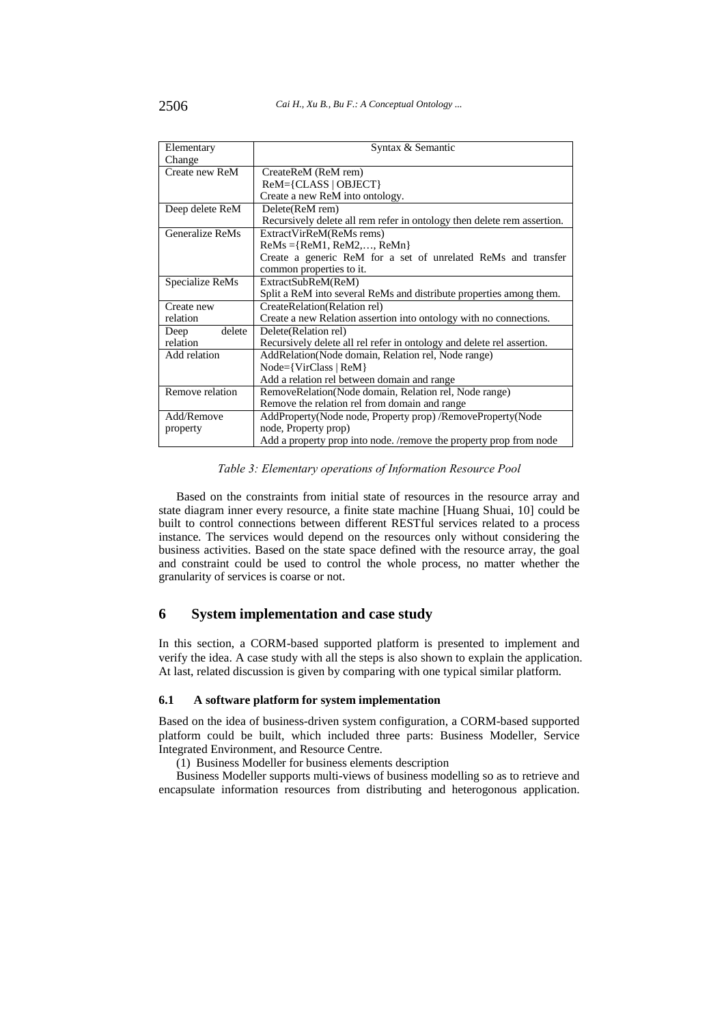| Elementary      | Syntax & Semantic                                                       |  |  |
|-----------------|-------------------------------------------------------------------------|--|--|
| Change          |                                                                         |  |  |
| Create new ReM  | CreateReM (ReM rem)                                                     |  |  |
|                 | $ReM = \{CLASS   OBJECT\}$                                              |  |  |
|                 | Create a new ReM into ontology.                                         |  |  |
| Deep delete ReM | Delete(ReM rem)                                                         |  |  |
|                 | Recursively delete all rem refer in ontology then delete rem assertion. |  |  |
| Generalize ReMs | ExtractVirReM(ReMs rems)                                                |  |  |
|                 | $ReMs = {ReM1, ReM2,, ReMn}$                                            |  |  |
|                 | Create a generic ReM for a set of unrelated ReMs and transfer           |  |  |
|                 | common properties to it.                                                |  |  |
| Specialize ReMs | ExtractSubReM(ReM)                                                      |  |  |
|                 | Split a ReM into several ReMs and distribute properties among them.     |  |  |
| Create new      | CreateRelation(Relation rel)                                            |  |  |
| relation        | Create a new Relation assertion into ontology with no connections.      |  |  |
| delete<br>Deep  | Delete (Relation rel)                                                   |  |  |
| relation        | Recursively delete all rel refer in ontology and delete rel assertion.  |  |  |
| Add relation    | AddRelation(Node domain, Relation rel, Node range)                      |  |  |
|                 | $Node={VirClass   ReM}$                                                 |  |  |
|                 | Add a relation rel between domain and range                             |  |  |
| Remove relation | RemoveRelation(Node domain, Relation rel, Node range)                   |  |  |
|                 | Remove the relation rel from domain and range                           |  |  |
| Add/Remove      | AddProperty(Node node, Property prop)/RemoveProperty(Node               |  |  |
| property        | node, Property prop)                                                    |  |  |
|                 | Add a property prop into node. /remove the property prop from node      |  |  |

*Table 3: Elementary operations of Information Resource Pool* 

Based on the constraints from initial state of resources in the resource array and state diagram inner every resource, a finite state machine [Huang Shuai, 10] could be built to control connections between different RESTful services related to a process instance. The services would depend on the resources only without considering the business activities. Based on the state space defined with the resource array, the goal and constraint could be used to control the whole process, no matter whether the granularity of services is coarse or not.

# **6 System implementation and case study**

In this section, a CORM-based supported platform is presented to implement and verify the idea. A case study with all the steps is also shown to explain the application. At last, related discussion is given by comparing with one typical similar platform.

### **6.1 A software platform for system implementation**

Based on the idea of business-driven system configuration, a CORM-based supported platform could be built, which included three parts: Business Modeller, Service Integrated Environment, and Resource Centre.

(1) Business Modeller for business elements description

Business Modeller supports multi-views of business modelling so as to retrieve and encapsulate information resources from distributing and heterogonous application.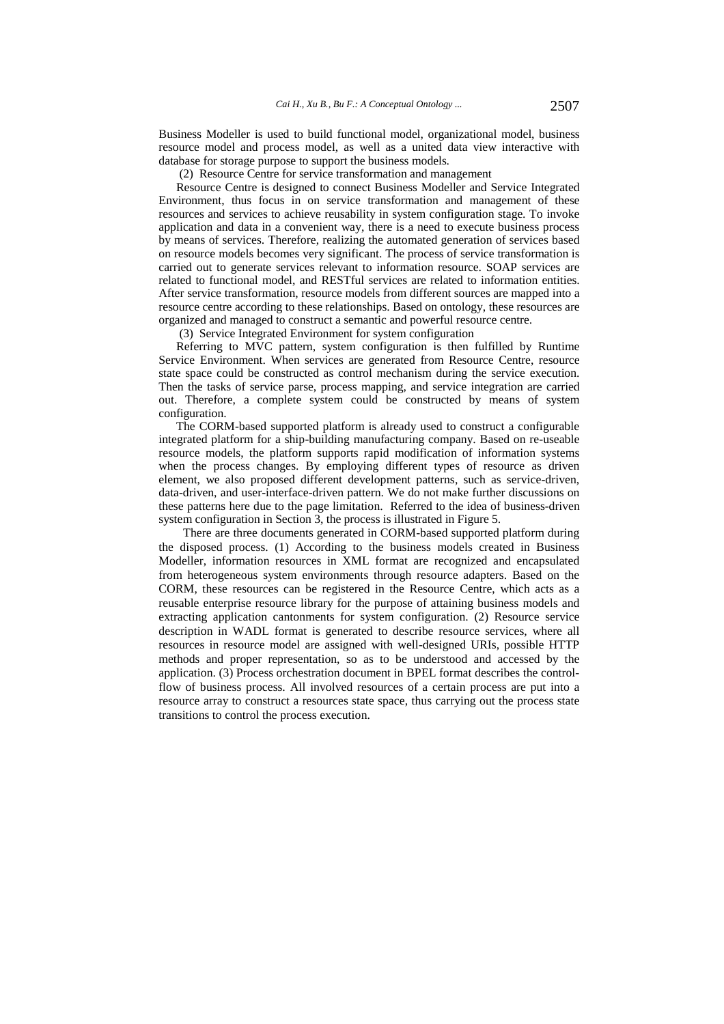Business Modeller is used to build functional model, organizational model, business resource model and process model, as well as a united data view interactive with database for storage purpose to support the business models.

(2) Resource Centre for service transformation and management

Resource Centre is designed to connect Business Modeller and Service Integrated Environment, thus focus in on service transformation and management of these resources and services to achieve reusability in system configuration stage. To invoke application and data in a convenient way, there is a need to execute business process by means of services. Therefore, realizing the automated generation of services based on resource models becomes very significant. The process of service transformation is carried out to generate services relevant to information resource. SOAP services are related to functional model, and RESTful services are related to information entities. After service transformation, resource models from different sources are mapped into a resource centre according to these relationships. Based on ontology, these resources are organized and managed to construct a semantic and powerful resource centre.

(3) Service Integrated Environment for system configuration

Referring to MVC pattern, system configuration is then fulfilled by Runtime Service Environment. When services are generated from Resource Centre, resource state space could be constructed as control mechanism during the service execution. Then the tasks of service parse, process mapping, and service integration are carried out. Therefore, a complete system could be constructed by means of system configuration.

The CORM-based supported platform is already used to construct a configurable integrated platform for a ship-building manufacturing company. Based on re-useable resource models, the platform supports rapid modification of information systems when the process changes. By employing different types of resource as driven element, we also proposed different development patterns, such as service-driven, data-driven, and user-interface-driven pattern. We do not make further discussions on these patterns here due to the page limitation. Referred to the idea of business-driven system configuration in Section 3, the process is illustrated in Figure 5.

There are three documents generated in CORM-based supported platform during the disposed process. (1) According to the business models created in Business Modeller, information resources in XML format are recognized and encapsulated from heterogeneous system environments through resource adapters. Based on the CORM, these resources can be registered in the Resource Centre, which acts as a reusable enterprise resource library for the purpose of attaining business models and extracting application cantonments for system configuration. (2) Resource service description in WADL format is generated to describe resource services, where all resources in resource model are assigned with well-designed URIs, possible HTTP methods and proper representation, so as to be understood and accessed by the application. (3) Process orchestration document in BPEL format describes the controlflow of business process. All involved resources of a certain process are put into a resource array to construct a resources state space, thus carrying out the process state transitions to control the process execution.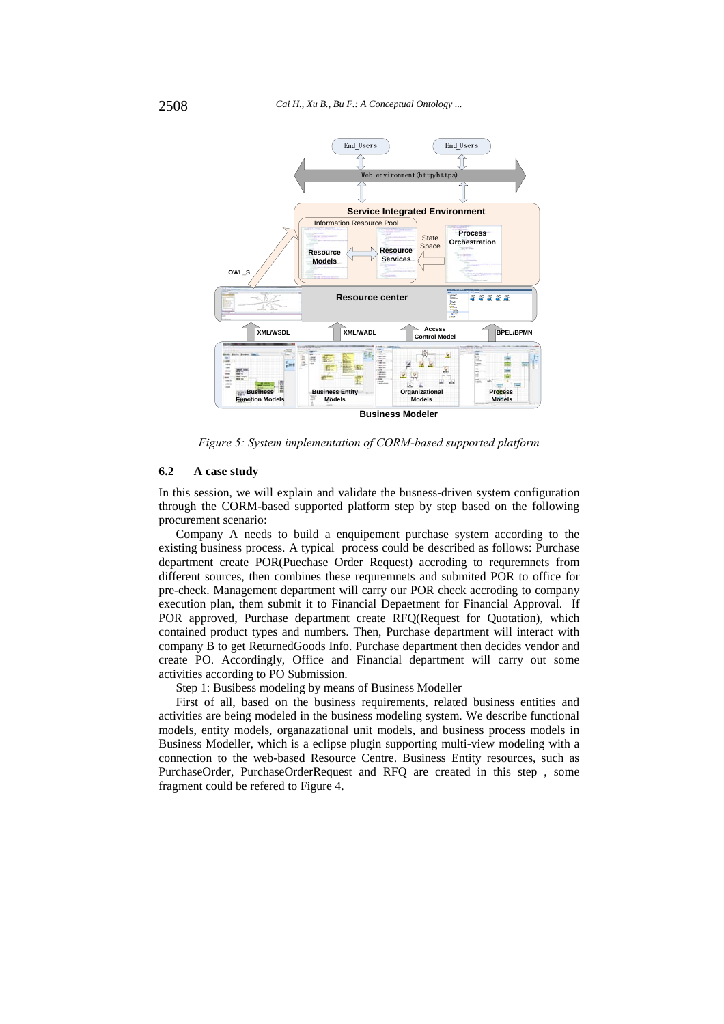

*Figure 5: System implementation of CORM-based supported platform* 

### **6.2 A case study**

In this session, we will explain and validate the busness-driven system configuration through the CORM-based supported platform step by step based on the following procurement scenario:

Company A needs to build a enquipement purchase system according to the existing business process. A typical process could be described as follows: Purchase department create POR(Puechase Order Request) accroding to requremnets from different sources, then combines these requremnets and submited POR to office for pre-check. Management department will carry our POR check accroding to company execution plan, them submit it to Financial Depaetment for Financial Approval. If POR approved, Purchase department create RFQ(Request for Quotation), which contained product types and numbers. Then, Purchase department will interact with company B to get ReturnedGoods Info. Purchase department then decides vendor and create PO. Accordingly, Office and Financial department will carry out some activities according to PO Submission.

Step 1: Busibess modeling by means of Business Modeller

First of all, based on the business requirements, related business entities and activities are being modeled in the business modeling system. We describe functional models, entity models, organazational unit models, and business process models in Business Modeller, which is a eclipse plugin supporting multi-view modeling with a connection to the web-based Resource Centre. Business Entity resources, such as PurchaseOrder, PurchaseOrderRequest and RFQ are created in this step , some fragment could be refered to Figure 4.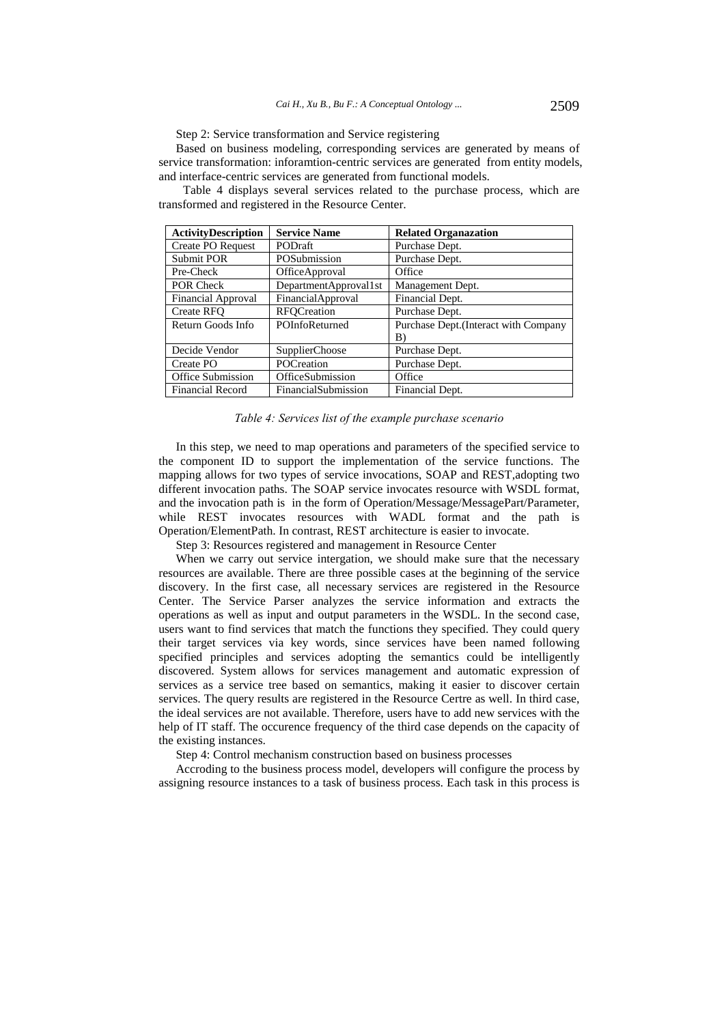Step 2: Service transformation and Service registering

Based on business modeling, corresponding services are generated by means of service transformation: inforamtion-centric services are generated from entity models, and interface-centric services are generated from functional models.

Table 4 displays several services related to the purchase process, which are transformed and registered in the Resource Center.

| <b>ActivityDescription</b> | <b>Service Name</b>                       | <b>Related Organazation</b>           |  |
|----------------------------|-------------------------------------------|---------------------------------------|--|
| <b>Create PO Request</b>   | PODraft<br>Purchase Dept.                 |                                       |  |
| <b>Submit POR</b>          | POSubmission<br>Purchase Dept.            |                                       |  |
| Pre-Check                  | OfficeApproval                            | Office                                |  |
| POR Check                  | DepartmentApproval1st<br>Management Dept. |                                       |  |
| Financial Approval         | FinancialApproval                         | Financial Dept.                       |  |
| <b>Create RFO</b>          | <b>RFOCreation</b>                        | Purchase Dept.                        |  |
| Return Goods Info          | POInfoReturned                            | Purchase Dept. (Interact with Company |  |
|                            |                                           | B)                                    |  |
| Decide Vendor              | <b>SupplierChoose</b>                     | Purchase Dept.                        |  |
| Create PO                  | <b>POCreation</b>                         | Purchase Dept.                        |  |
| Office Submission          | OfficeSubmission                          | Office                                |  |
| Financial Record           | FinancialSubmission                       | Financial Dept.                       |  |

#### *Table 4: Services list of the example purchase scenario*

In this step, we need to map operations and parameters of the specified service to the component ID to support the implementation of the service functions. The mapping allows for two types of service invocations, SOAP and REST,adopting two different invocation paths. The SOAP service invocates resource with WSDL format, and the invocation path is in the form of Operation/Message/MessagePart/Parameter, while REST invocates resources with WADL format and the path is Operation/ElementPath. In contrast, REST architecture is easier to invocate.

Step 3: Resources registered and management in Resource Center

When we carry out service intergation, we should make sure that the necessary resources are available. There are three possible cases at the beginning of the service discovery. In the first case, all necessary services are registered in the Resource Center. The Service Parser analyzes the service information and extracts the operations as well as input and output parameters in the WSDL. In the second case, users want to find services that match the functions they specified. They could query their target services via key words, since services have been named following specified principles and services adopting the semantics could be intelligently discovered. System allows for services management and automatic expression of services as a service tree based on semantics, making it easier to discover certain services. The query results are registered in the Resource Certre as well. In third case, the ideal services are not available. Therefore, users have to add new services with the help of IT staff. The occurence frequency of the third case depends on the capacity of the existing instances.

Step 4: Control mechanism construction based on business processes

Accroding to the business process model, developers will configure the process by assigning resource instances to a task of business process. Each task in this process is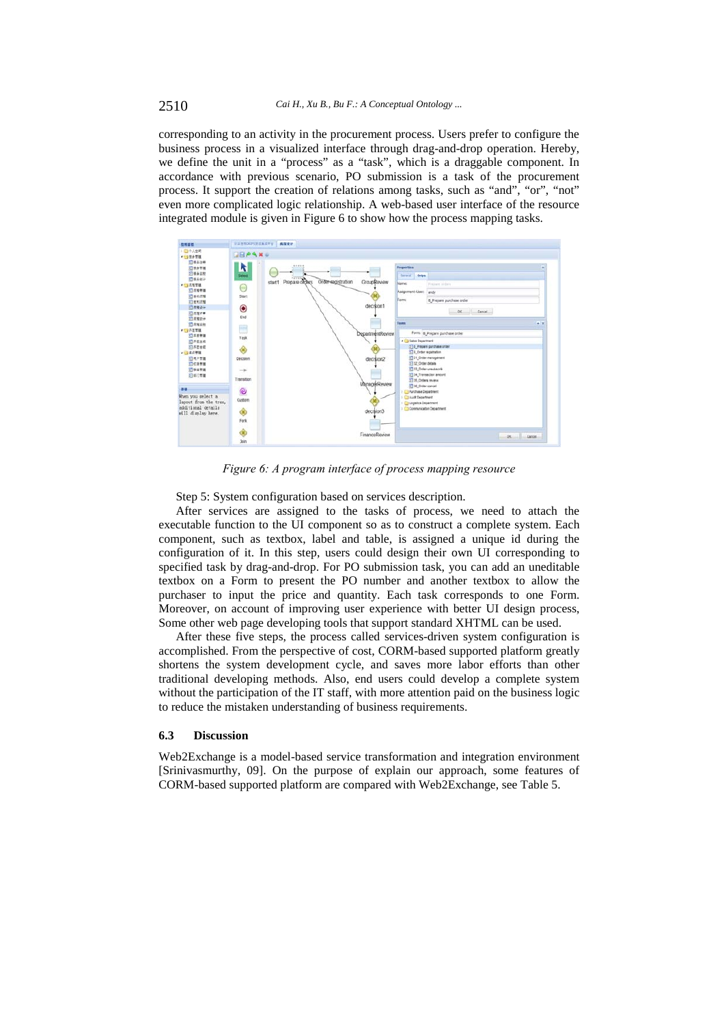corresponding to an activity in the procurement process. Users prefer to configure the business process in a visualized interface through drag-and-drop operation. Hereby, we define the unit in a "process" as a "task", which is a draggable component. In accordance with previous scenario, PO submission is a task of the procurement process. It support the creation of relations among tasks, such as "and", "or", "not" even more complicated logic relationship. A web-based user interface of the resource integrated module is given in Figure 6 to show how the process mapping tasks.



*Figure 6: A program interface of process mapping resource* 

Step 5: System configuration based on services description.

After services are assigned to the tasks of process, we need to attach the executable function to the UI component so as to construct a complete system. Each component, such as textbox, label and table, is assigned a unique id during the configuration of it. In this step, users could design their own UI corresponding to specified task by drag-and-drop. For PO submission task, you can add an uneditable textbox on a Form to present the PO number and another textbox to allow the purchaser to input the price and quantity. Each task corresponds to one Form. Moreover, on account of improving user experience with better UI design process, Some other web page developing tools that support standard XHTML can be used.

After these five steps, the process called services-driven system configuration is accomplished. From the perspective of cost, CORM-based supported platform greatly shortens the system development cycle, and saves more labor efforts than other traditional developing methods. Also, end users could develop a complete system without the participation of the IT staff, with more attention paid on the business logic to reduce the mistaken understanding of business requirements.

#### **6.3 Discussion**

Web2Exchange is a model-based service transformation and integration environment [Srinivasmurthy, 09]. On the purpose of explain our approach, some features of CORM-based supported platform are compared with Web2Exchange, see Table 5.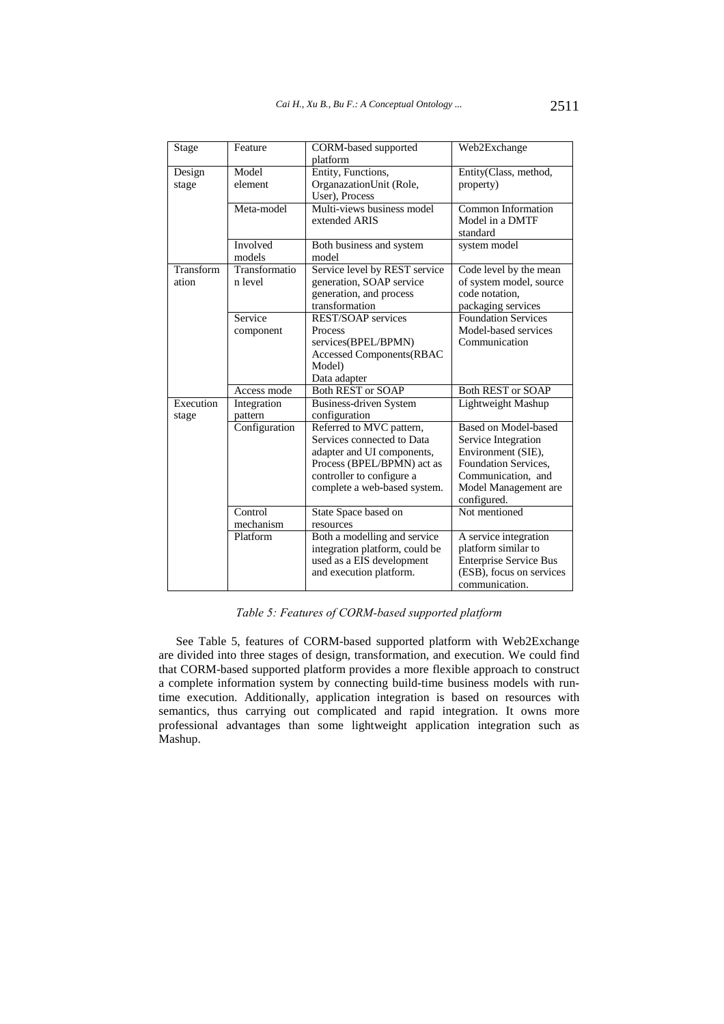| <b>Stage</b> | Feature       | CORM-based supported            | Web2Exchange                  |
|--------------|---------------|---------------------------------|-------------------------------|
|              |               | platform                        |                               |
| Design       | Model         | Entity, Functions,              | Entity(Class, method,         |
| stage        | element       | OrganazationUnit (Role,         | property)                     |
|              |               | User), Process                  |                               |
|              | Meta-model    | Multi-views business model      | Common Information            |
|              |               | extended ARIS                   | Model in a DMTF               |
|              |               |                                 | standard                      |
|              | Involved      | Both business and system        | system model                  |
|              | models        | model                           |                               |
| Transform    | Transformatio | Service level by REST service   | Code level by the mean        |
| ation        | n level       | generation, SOAP service        | of system model, source       |
|              |               | generation, and process         | code notation,                |
|              |               | transformation                  | packaging services            |
|              | Service       | <b>REST/SOAP</b> services       | <b>Foundation Services</b>    |
|              | component     | Process                         | Model-based services          |
|              |               | services(BPEL/BPMN)             | Communication                 |
|              |               | <b>Accessed Components(RBAC</b> |                               |
|              |               | Model)                          |                               |
|              |               | Data adapter                    |                               |
|              | Access mode   | <b>Both REST or SOAP</b>        | <b>Both REST or SOAP</b>      |
| Execution    | Integration   | <b>Business-driven System</b>   | Lightweight Mashup            |
| stage        | pattern       | configuration                   |                               |
|              | Configuration | Referred to MVC pattern,        | <b>Based on Model-based</b>   |
|              |               | Services connected to Data      | Service Integration           |
|              |               | adapter and UI components,      | Environment (SIE),            |
|              |               | Process (BPEL/BPMN) act as      | Foundation Services,          |
|              |               | controller to configure a       | Communication, and            |
|              |               | complete a web-based system.    | Model Management are          |
|              |               |                                 | configured.                   |
|              | Control       | State Space based on            | Not mentioned                 |
|              | mechanism     | resources                       |                               |
|              | Platform      | Both a modelling and service    | A service integration         |
|              |               | integration platform, could be  | platform similar to           |
|              |               | used as a EIS development       | <b>Enterprise Service Bus</b> |
|              |               | and execution platform.         | (ESB), focus on services      |
|              |               |                                 | communication.                |

*Table 5: Features of CORM-based supported platform* 

See Table 5, features of CORM-based supported platform with Web2Exchange are divided into three stages of design, transformation, and execution. We could find that CORM-based supported platform provides a more flexible approach to construct a complete information system by connecting build-time business models with runtime execution. Additionally, application integration is based on resources with semantics, thus carrying out complicated and rapid integration. It owns more professional advantages than some lightweight application integration such as Mashup.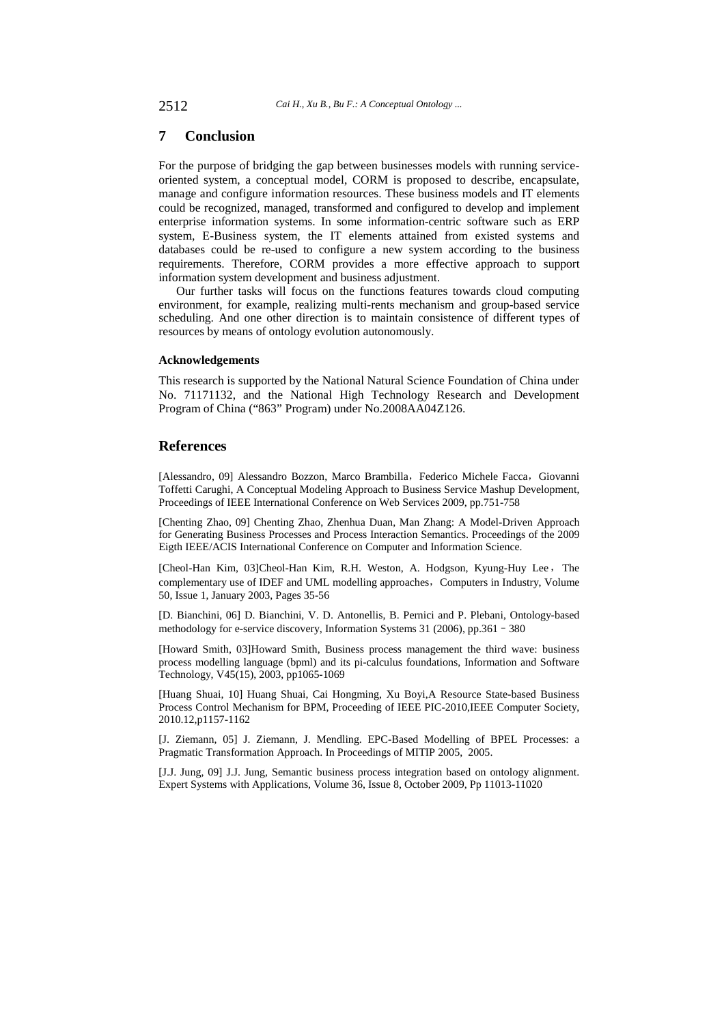# **7 Conclusion**

For the purpose of bridging the gap between businesses models with running serviceoriented system, a conceptual model, CORM is proposed to describe, encapsulate, manage and configure information resources. These business models and IT elements could be recognized, managed, transformed and configured to develop and implement enterprise information systems. In some information-centric software such as ERP system, E-Business system, the IT elements attained from existed systems and databases could be re-used to configure a new system according to the business requirements. Therefore, CORM provides a more effective approach to support information system development and business adjustment.

Our further tasks will focus on the functions features towards cloud computing environment, for example, realizing multi-rents mechanism and group-based service scheduling. And one other direction is to maintain consistence of different types of resources by means of ontology evolution autonomously.

### **Acknowledgements**

This research is supported by the National Natural Science Foundation of China under No. 71171132, and the National High Technology Research and Development Program of China ("863" Program) under No.2008AA04Z126.

### **References**

[Alessandro, 09] Alessandro Bozzon, Marco Brambilla, Federico Michele Facca, Giovanni Toffetti Carughi, A Conceptual Modeling Approach to Business Service Mashup Development, Proceedings of IEEE International Conference on Web Services 2009, pp.751-758

[Chenting Zhao, 09] Chenting Zhao, Zhenhua Duan, Man Zhang: A Model-Driven Approach for Generating Business Processes and Process Interaction Semantics. Proceedings of the 2009 Eigth IEEE/ACIS International Conference on Computer and Information Science.

[Cheol-Han Kim, 03]Cheol-Han Kim, R.H. Weston, A. Hodgson, Kyung-Huy Lee, The complementary use of IDEF and UML modelling approaches, Computers in Industry, Volume 50, Issue 1, January 2003, Pages 35-56

[D. Bianchini, 06] D. Bianchini, V. D. Antonellis, B. Pernici and P. Plebani, Ontology-based methodology for e-service discovery, Information Systems 31 (2006), pp.361–380

[Howard Smith, 03]Howard Smith, Business process management the third wave: business process modelling language (bpml) and its pi-calculus foundations, Information and Software Technology, V45(15), 2003, pp1065-1069

[Huang Shuai, 10] Huang Shuai, Cai Hongming, Xu Boyi,A Resource State-based Business Process Control Mechanism for BPM, Proceeding of IEEE PIC-2010,IEEE Computer Society, 2010.12,p1157-1162

[J. Ziemann, 05] J. Ziemann, J. Mendling. EPC-Based Modelling of BPEL Processes: a Pragmatic Transformation Approach. In Proceedings of MITIP 2005, 2005.

[J.J. Jung, 09] J.J. Jung, Semantic business process integration based on ontology alignment. Expert Systems with Applications, Volume 36, Issue 8, October 2009, Pp 11013-11020